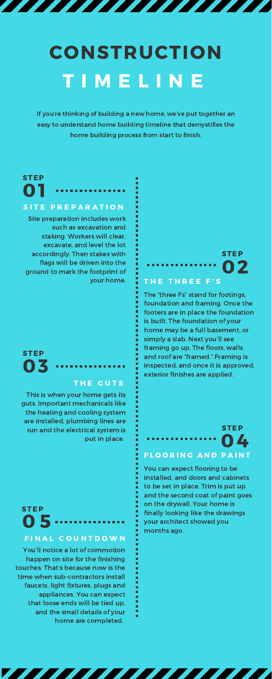# CONSTRUCTION T I M E L I N E

### STEP 01 ---------

**SANTA CONTRACTOR** 

### SITE PREPARATION

Site preparation includes work such as excavation and staking. Workers will clear, excavate, and level the lot accordingly. Then stakes with flags will be driven into the ground to mark the footprint of your home.

If you're thinking of building a new home, we've put together an easy to understand home building timeline that demystifies the home building process from start to finish.

> Ξ Ľ

> I

Ľ

7777777777777777777777



### THE THREE F'S

The "three Fs" stand for footings, foundation and framing. Once the footers are in place the foundation is built. The foundation of your home may be a full basement, or simply a slab. Next you'll see framing go up. The floors, walls and roof are "framed." Framing is inspected, and once it is approved, exterior finishes are applied.

This is when your home gets its guts. Important mechanicals like

## STEP 03

#### THE GUTS

the heating and cooling system are installed, plumbing lines are run and the electrical system is put in place.

### STEP 04

### **FLOORING AND PAINT**

You can expect flooring to be installed, and doors and cabinets to be set in place. Trim is put up and the second coat of paint goes on the drywall. Your home is finally looking like the drawings your architect showed you months ago.

### STEP 0 5

### FINAL COUNTDOWN

You'll notice a lot of commotion happen on site for the finishing touches. That's because now is the time when sub-contractors install faucets, light fixtures, plugs and appliances. You can expect that loose ends will be tied up, and the small details of your home are completed.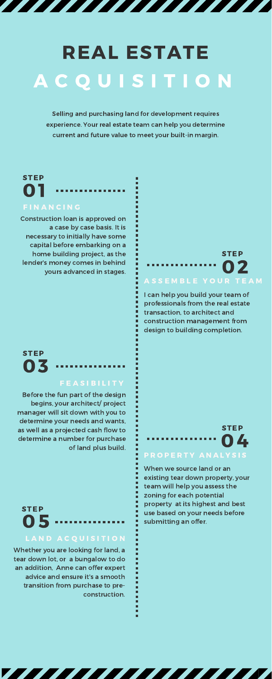# REAL ESTATE A C Q U I S I T I O N

Construction loan is approved on a case by case basis. It is necessary to initially have some capital before embarking on a home building project, as the lender's money comes in behind yours advanced in stages.

### STEP 01

### **FINANCING**

Selling and purchasing land for development requires experience. Your real estate team can help you determine current and future value to meet your built-in margin.



I can help you build your team of professionals from the real estate transaction, to architect and construction management from design to building completion.

Before the fun part of the design begins, your architect/ project

### STEP 03

#### **FEASIBILITY**

manager will sit down with you to determine your needs and wants, as well as a projected cash flow to determine a number for purchase of land plus build.

### STEP 04

### PROPERTY ANALYSIS

When we source land or an existing tear down property, your team will help you assess the zoning for each potential property at its highest and best use based on your needs before submitting an offer.

### STEP 0 5

### LAND ACQUISITION

Whether you are looking for land, a tear down lot, or a bungalow to do an addition, Anne can offer expert advice and ensure it's a smooth transition from purchase to preconstruction.

> г Ξ

<u> The Communication of the Communication of the Communication of the Communication of the Communication of the Communication of the Communication of the Communication of the Communication of the Communication of the Commun</u>